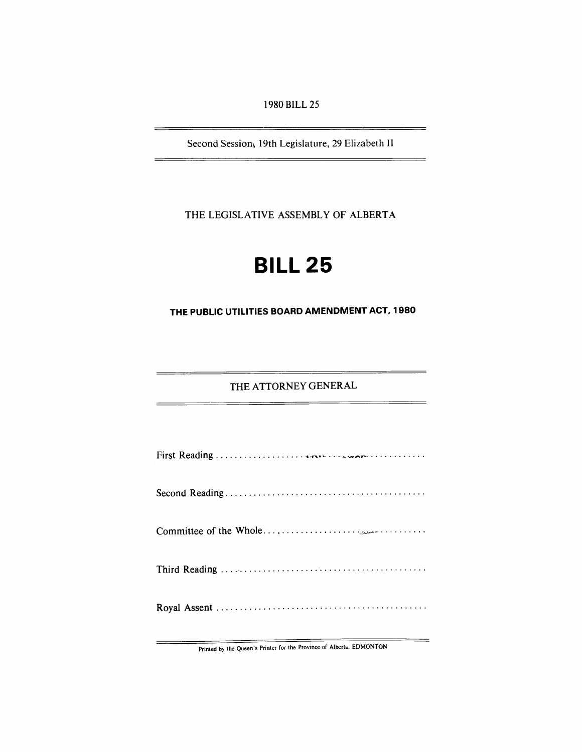1980 BILL 25

Second Session, 19th Legislature, 29 Elizabeth II

<u> The Communication of the Communication of the Communication of the Communication of the Communication of the Communication of the Communication of the Communication of the Communication of the Communication of the Commun</u>

THE LEGISLATIVE ASSEMBLY OF ALBERTA

# **BILL 25**

**THE PUBLIC UTILITIES BOARD AMENDMENT ACT, 1980** 

THE ATTORNEY GENERAL

Printed by the Queen's Printer for the Province of Alberta, EDMONTON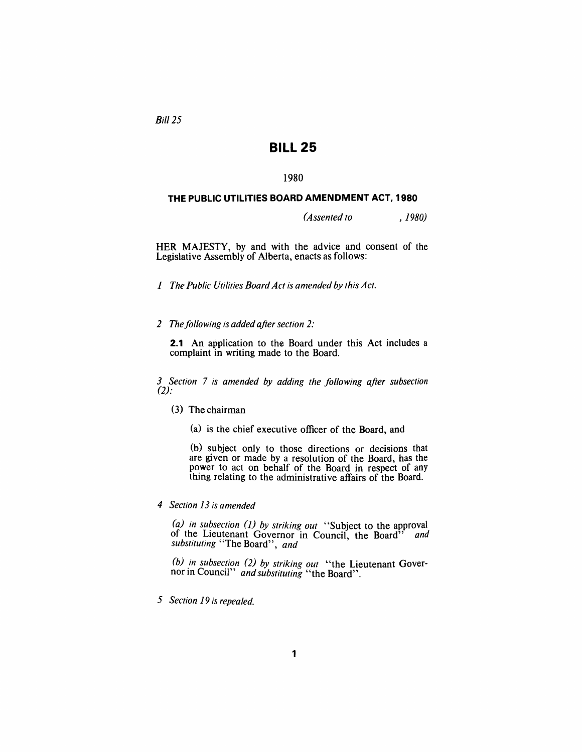Bill 25

# **BILL 25**

# 1980

### **THE PUBLIC UTILITIES BOARD AMENDMENT ACT, 1980**

*(Assented to , 1980)* 

HER MAJESTY, by and with the advice and consent of the Legislative Assembly of Alberta, enacts as follows:

*1 The Public Utilities Board Act is amended by this Act.* 

2 The following is added after section 2:

**2.1** An application to the Board under this Act includes a complaint in writing made to the Board.

*3 Section* 7 *is amended by adding the following after subsection*   $(2)$ :

(3) The chairman

(a) is the chief executive officer of the Board, and

(b) subject only to those directions or decisions that are given or made by a resolution of the Board, has the power to act on behalf of the Board in respect of any thing relating to the administrative affairs of the Board.

*4 Section* 13 *is amended* 

(a) in subsection (1) by striking out "Subject to the approval of the Lieutenant Governor in Council, the Board<sup>35</sup> and *substituting* "The Board", and

*(b) in subsection* (2) *by striking out* "the Lieutenant Governor in Council" *and substituting* "the Board".

*5 Section* 19 *is repealed.*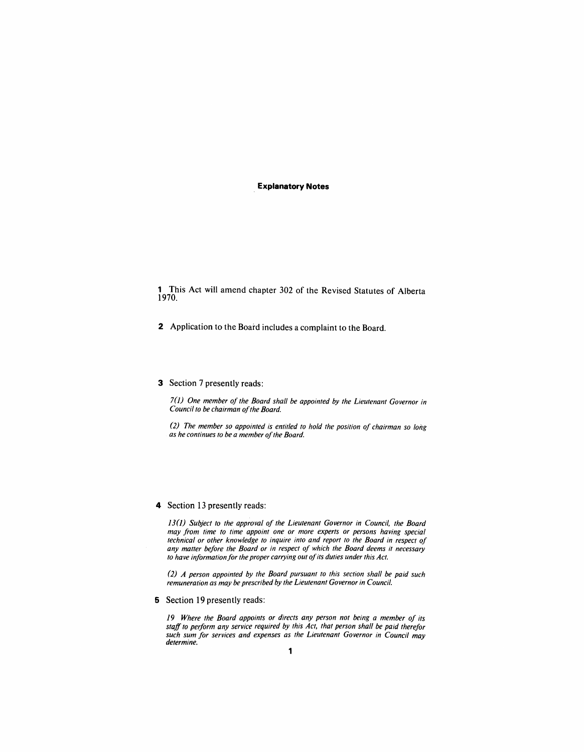#### **Explanatory Notes**

1 This Act will amend chapter 302 of the Revised Statutes of Alberta 1970.

2 Application to the Board includes a complaint to the Board.

#### 3 Section 7 presently reads:

*70) One member of the Board shall be appointed by the Lieutenant Governor in Council to be chairman of the Board.* 

*(2) The member so appointed is entitled to hold the position of chairman so long as he continues to be a member of the Board.* 

### 4 Section 13 presently reads:

J30) *Subject to the approval of the Lieutenant Governor in Council, the Board may from time to time appoint one or more experts or persons having special technical or other knowledge to inquire into and report to the Board in respect of any matter before the Board or in respect of which the Board deems it necessary to have information for the proper carrying out of its duties under this Act.* 

*(2) A person appointed by the Board pursuant to this section shall be paid such remuneration as may be prescribed by the Lieutenant Governor in Council.* 

5 Section 19 presently reads:

*19 Where the Board appoints or directs any person not being a member of its staff to per/orm any service required by this Act, that person shall be paid therefor such sum for services and expenses as the Lieutenant Governor in Council may determine.*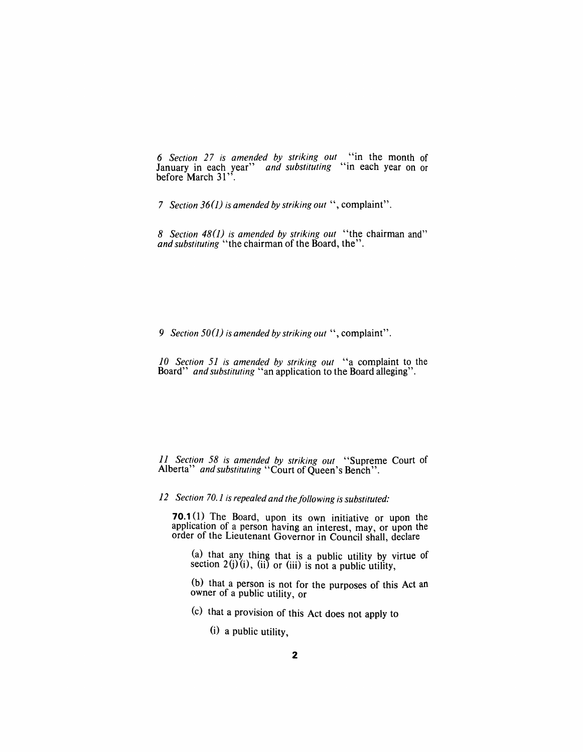*6 Section* 27 *is amended by striking out* "in the month of January in each year" *and substituting* "in each year on or before March 31".

*7 Section 36(1) is amended by striking out* ", complaint".

*8 Section 480) is amended by striking out* "the chairman and" *and substituting* "the chairman of the Board, the".

9 *Section 50(1) is amended by striking out* ", complaint".

*10 Section* 51 *is amended by striking out* "a complaint to the Board" *and substituting* "an application to the Board alleging".

*11 Section* 58 *is amended by striking out* "Supreme Court of Alberta" *and substituting* "Court of Queen's Bench".

12 Section 70.1 is repealed and the following is substituted:

**70.1** (1) The Board, upon its own initiative or upon the application of a person having an interest, may, or upon the order of the Lieutenant Governor in Council shall, declare

(a) that any thing that is a public utility by virtue of section  $2(j)(i)$ , (ii) or (iii) is not a public utility,

(b) that a person is not for the purposes of this Act an owner of a public utility, or

(c) that a provision of this Act does not apply to

(i) a public utility,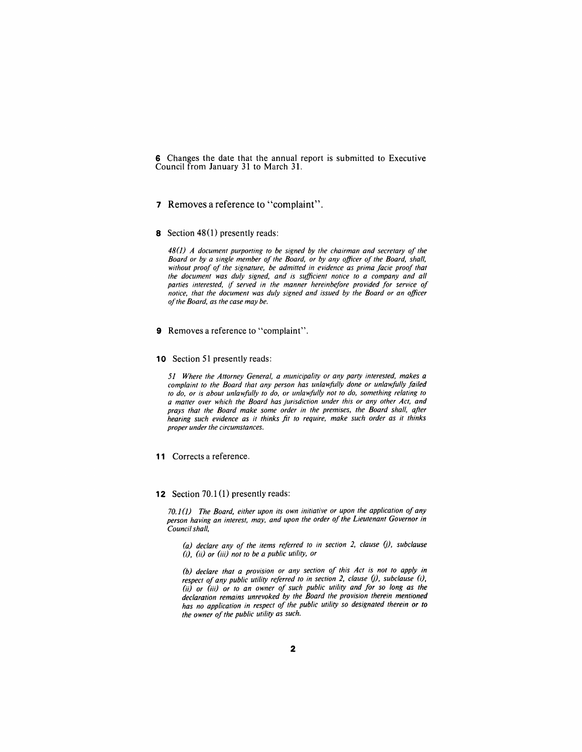6 Changes the date that the annual report is submitted to Executive Council from January 31 to March 31.

- 7 Removes a reference to "complaint".
- 8 Section 48(1) presently reads:

*48(J) A document purporting to be signed by the chairman and secretary of the Board or by a Single member of the Board, or by any officer of the Board, shall, without proof of the signature, be admitted in evidence as prima facie proof that*  the document was duly signed, and is sufficient notice to a company and all *parties interested,* if *served in the manner hereinbefore provided for service of notice, that the document was duly signed and issued by the Board or an officer of the Board, as the case may be.* 

- 9 Removes a reference to "complaint".
- 10 Section 51 presently reads:

*51 Where the Attorney General, a municipality or any party interested, makes a complaint to the Board that any person has unlawfully done or unlawfully failed to do, or is about unlawfully to do, or unlawfully not to do, something relating to a matter over which the Board has jurisdiction under this or any other Act, and prays that the Board make some order in the premises, the Board shall, after hearing such evidence as it thinks fit to require, make such order as it thinks proper under the circumstances.* 

**11** Corrects a reference.

**12** Section 70.1(1) presently reads:

*70.1 (J) The Board, either upon its own initiative or upon the application of any person having an interest, may, and upon the order of the Lieutenant Governor in Council shall,* 

*(a) declare any of the items referred to in section* 2, *clause* 0), *subclause*  (i), (iiJ *or* (iii) *not to be a public utility, or* 

*(b) declare that a provision or any section of this Act is not to apply in respect of any public utility referred to in section 2, clause (j), subclause (i),* (iiJ *or* (iii) *or to an owner of such public utility and for so long as the declaration remains unrevoked by the Board the provision therein mentioned has no application in respect of the public utility so designated therein or to the owner of the public utility as such.*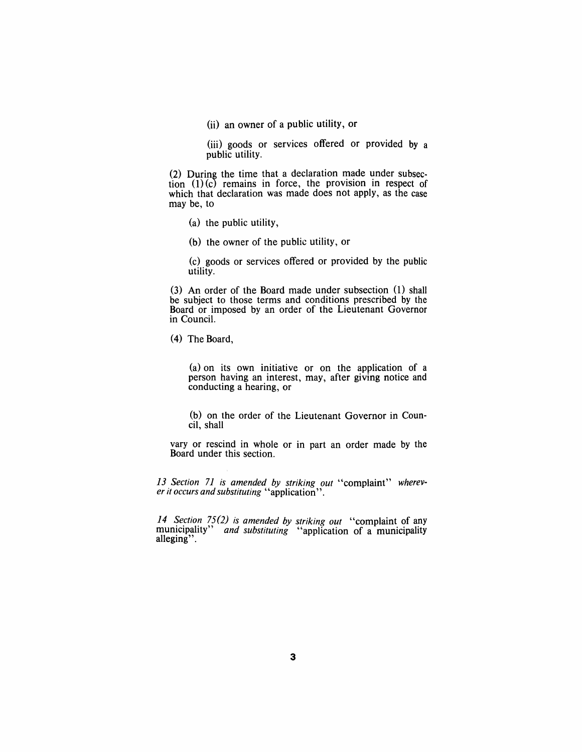(ii) an owner of a public utility, or

(iii) goods or services offered or provided by a public utility.

(2) During the time that a declaration made under subsection  $(1)(c)$  remains in force, the provision in respect of which that declaration was made does not apply, as the case may be, to

- (a) the public utility,
- (b) the owner of the public utility, or

(c) goods or services offered or provided by the public utility.

(3) An order of the Board made under subsection (I) shall be subject to those terms and conditions prescribed by the Board or imposed by an order of the Lieutenant Governor in Council.

(4) The Board,

(a) on its own initiative or on the application of a person having an interest, may, after giving notice and conducting a hearing, or

(b) on the order of the Lieutenant Governor in Council, shall

vary or rescind in whole or in part an order made by the Board under this section.

*13 Section* 71 *is amended by striking out* "complaint" *wherever it occurs and substituting* "application".

*14 Section* 75(2) *is amended by striking out* "complaint of any municipality" *and substituting* "application of a municipality alleging".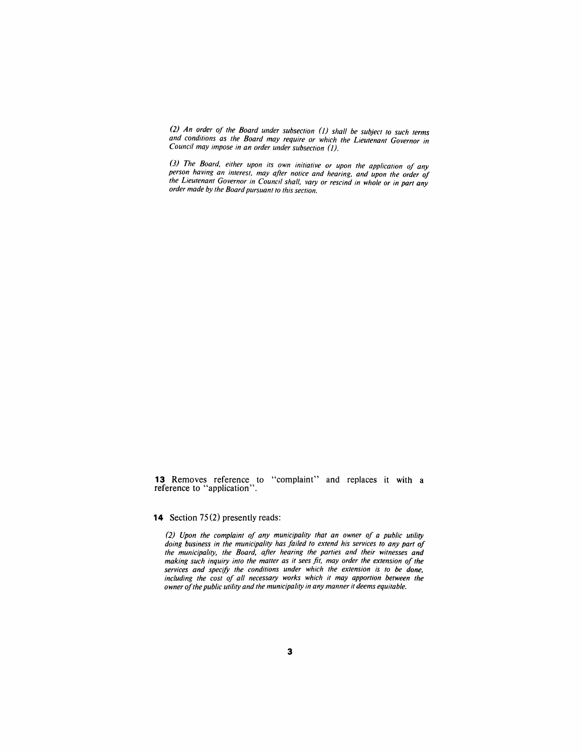*(2) An order of the Board under subsection* (j) *shall be subject to such terms and conditions as the Board may require or which the Lieutenant Governor in Council may impose in an order under subsection* (j).

*(3) The Board, either upon its own initiative or upon the application of any person having an interest, may after notice and hearing, and upon the order of the Lieutenant Governor in Council shall, vary or rescind in whole or in part any order made by the Board pursuant to this section.* 

**13** Removes reference to "complaint" and replaces it with a reference to "application".

## **14** Section 75(2) presently reads:

*(2) Upon the complaint of any municipality that an owner of a public utility*  doing business in the municipality has failed to extend his services to any part of *the municipality, the Board, after hearing the parties and their witnesses and making such inquiry into the matter as it sees fit, may order the extension of the* services and specify the conditions under which the extension is to be done, including the cost of all necessary works which it may apportion between the *owner of the public utility and the municipality in any manner it deems equitable.*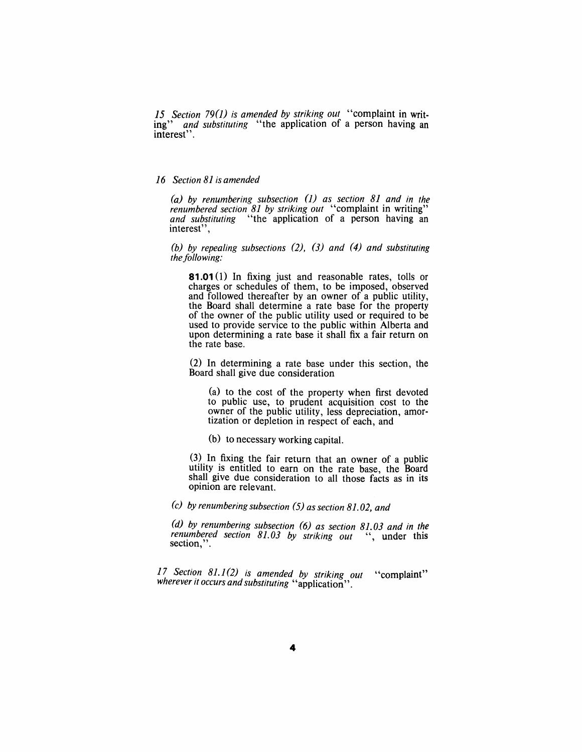15 Section 79(1) is amended by striking out "complaint in writing" *and substituting* "the application of a person having an interest" .

# *16 Section* 81 *is amended*

*(a) by renumbering subsection* 0) *as section* 81 *and in the renumbered section* 81 *by striking out* "complaint in writing" *and substituting* "the application of a person having an interest",

*(b) by repealing subsections* (2), (3) *and* (4) *and substituting the following:* 

**81.01** (1) In fixing just and reasonable rates, tolls or charges or schedules of them, to be imposed, observed and followed thereafter by an owner of a public utility, the Board shall determine a rate base for the property of the owner of the public utility used or required to be used to provide service to the public within Alberta and upon determining a rate base it shall fix a fair return on the rate base.

(2) In determining a rate base under this section, the Board shall give due consideration

(a) to the cost of the property when first devoted to public use, to prudent acquisition cost to the owner of the public utility, less depreciation, amortization or depletion in respect of each, and

(b) to necessary working capital.

(3) In fixing the fair return that an owner of a public utility is entitled to earn on the rate base, the Board shall give due consideration to all those facts as in its opinion are relevant.

*(c) by renumbering subsection* (5) *as section 81.02, and* 

*(d) by renumbering subsection* (6) *as section 81.03 and in the renumbered section 81.03 by striking out* ", under this  $\text{section}, \text{''}.$ 

17 Section 81.1(2) is amended by striking out "complaint" *wherever It occurs and substituting'* 'application".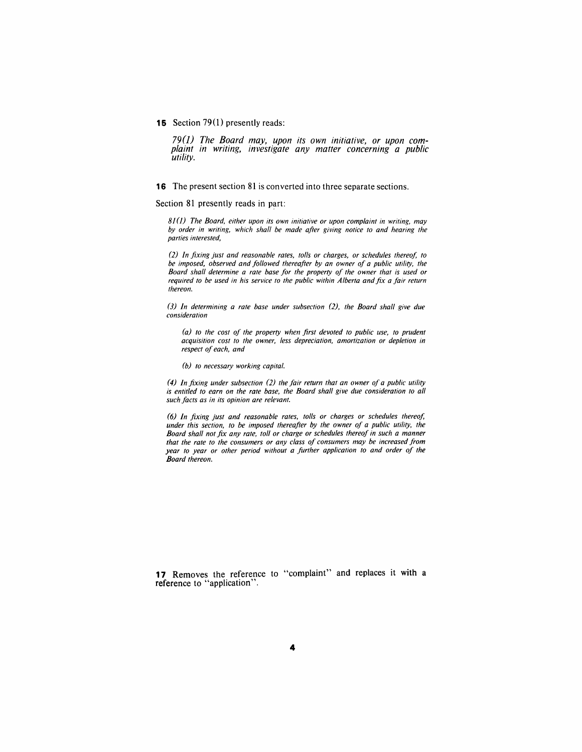#### **15** Section 79(1) presently reads:

*79(J) The Board may, upon its own initiative, or upon com- plaint in writing, investigate any matter concerning a public utility.* 

**16** The present section 81 is converted into three separate sections.

Section 81 presently reads in part:

*81 (J) The Board, either upon its own initiative or upon complaint in writing, may by order in writing, which shall be made after giving notice to and hearing the parties interested,* 

*(2) In fixing just and reasonable rates, tolls or charges, or schedules thereof, to be imposed, observed and followed thereafter by an owner of a public utility, the Board shall determine a rate base for the property of the owner that is used or required to be used in his service to the public within Alberta and fix a fair return thereon.* 

*(3) In determining a rate base under subsection* (2), *the Board shall give due consideration* 

*(a) to the cost of the property when first devoted to public use, to prudent acquisition cost to the owner, less depreciation, amortization or depletion in respect of each, and* 

*(b) to necessary working capital.* 

*(4) In fixing under subsection* (2) *the fair return that an owner of a public utility*  is entitled to earn on the rate base, the Board shall give due consideration to all *such facts as in its opinion are relevant.* 

*(6) In fixing just and reasonable rates, tolls or charges or schedules thereof, under this section, to be imposed thereafter by the owner of a public utility, the Board shall not fix any rate, toll or charge or schedules thereof in such a manner that the rate to the consumers or any class of consumers may be increased from year to year or other period without a further application to and order of the Board thereon.* 

**17** Removes the reference to "complaint" and replaces it with a reference to "application".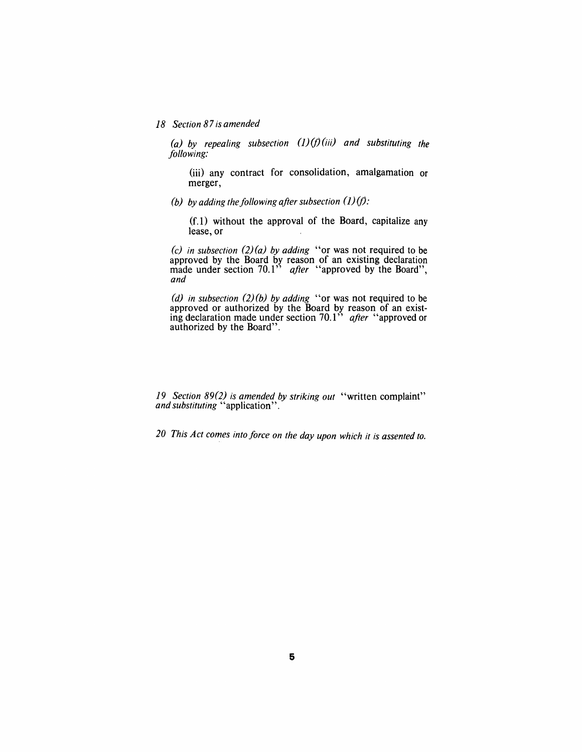*18 Section* 87 *is amended* 

(a) by repealing subsection  $(I)(f)(iii)$  and substituting the */0110 wing:* 

(iii) any contract for consolidation, amalgamation or merger,

(b) by adding the following after subsection  $(1)(f)$ :

 $(f. 1)$  without the approval of the Board, capitalize any lease, or

 $(c)$  in subsection  $(2)(a)$  by adding "or was not required to be approved by the Board by reason of an existing declaration made under section 70.1" *after* "approved by the Board", *and* 

*(d) in subsection (2)(b) by adding* "or was not required to be approved or authorized by the Board by reason of an existing declaration made under section 70.1" *after* "approved or authorized by the Board".

*19 Section* 89(2) *is amended by striking out* "written complaint" *and substituting* "application".

*20 This Act comes into force on the day upon which it is assented to.*